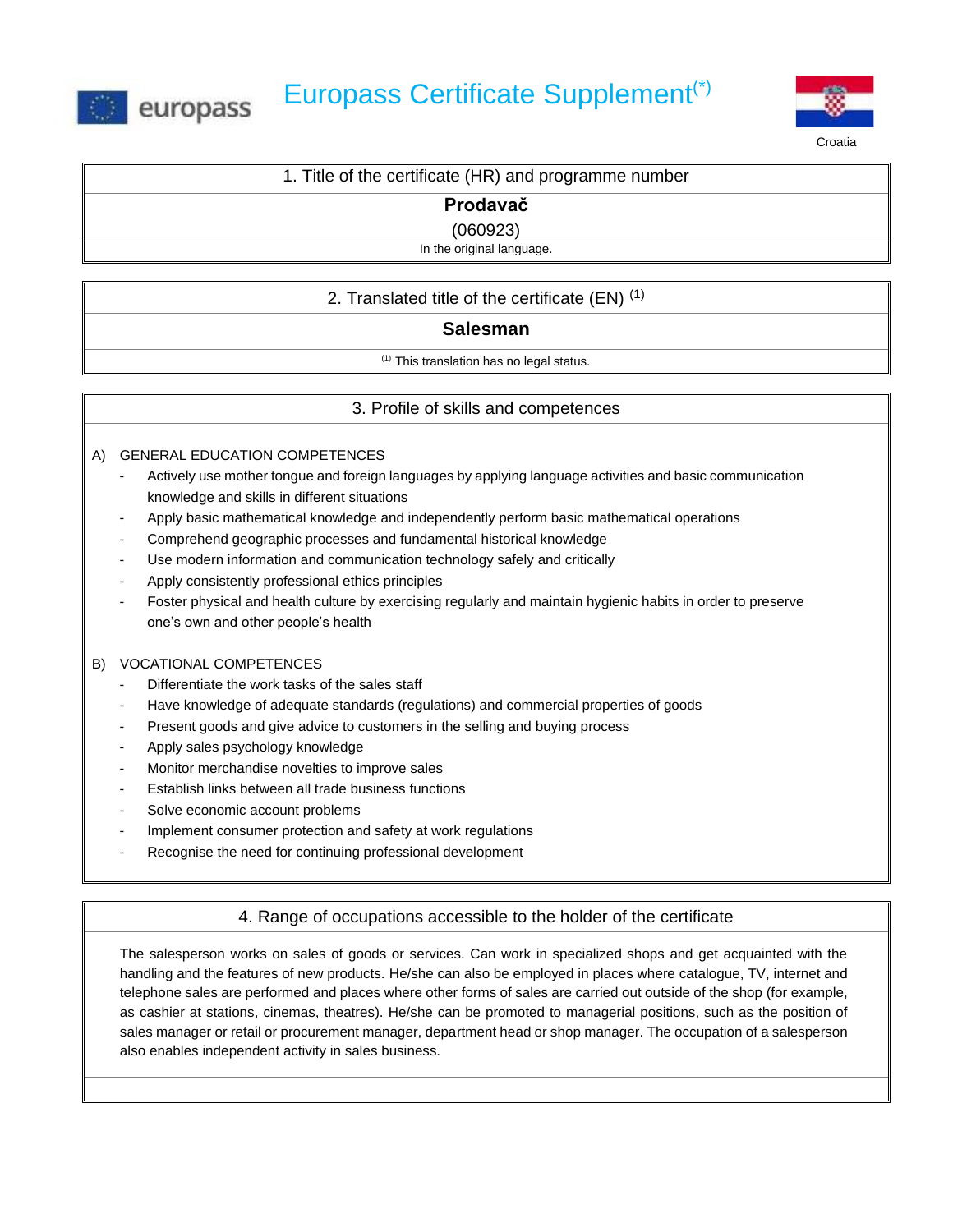

# **Europass** Europass Certificate Supplement<sup>(\*)</sup>



## 1. Title of the certificate (HR) and programme number

**Prodavač**

(060923)

In the original language.

# 2. Translated title of the certificate  $(EN)^{(1)}$

# **Salesman**

(1) This translation has no legal status.

## 3. Profile of skills and competences

## A) GENERAL EDUCATION COMPETENCES

- Actively use mother tongue and foreign languages by applying language activities and basic communication knowledge and skills in different situations
- Apply basic mathematical knowledge and independently perform basic mathematical operations
- Comprehend geographic processes and fundamental historical knowledge
- Use modern information and communication technology safely and critically
- Apply consistently professional ethics principles
- Foster physical and health culture by exercising regularly and maintain hygienic habits in order to preserve one's own and other people's health

#### B) VOCATIONAL COMPETENCES

- Differentiate the work tasks of the sales staff
- Have knowledge of adequate standards (regulations) and commercial properties of goods
- Present goods and give advice to customers in the selling and buying process
- Apply sales psychology knowledge
- Monitor merchandise novelties to improve sales
- Establish links between all trade business functions
- Solve economic account problems
- Implement consumer protection and safety at work regulations
- Recognise the need for continuing professional development

# 4. Range of occupations accessible to the holder of the certificate

The salesperson works on sales of goods or services. Can work in specialized shops and get acquainted with the handling and the features of new products. He/she can also be employed in places where catalogue, TV, internet and telephone sales are performed and places where other forms of sales are carried out outside of the shop (for example, as cashier at stations, cinemas, theatres). He/she can be promoted to managerial positions, such as the position of sales manager or retail or procurement manager, department head or shop manager. The occupation of a salesperson also enables independent activity in sales business.